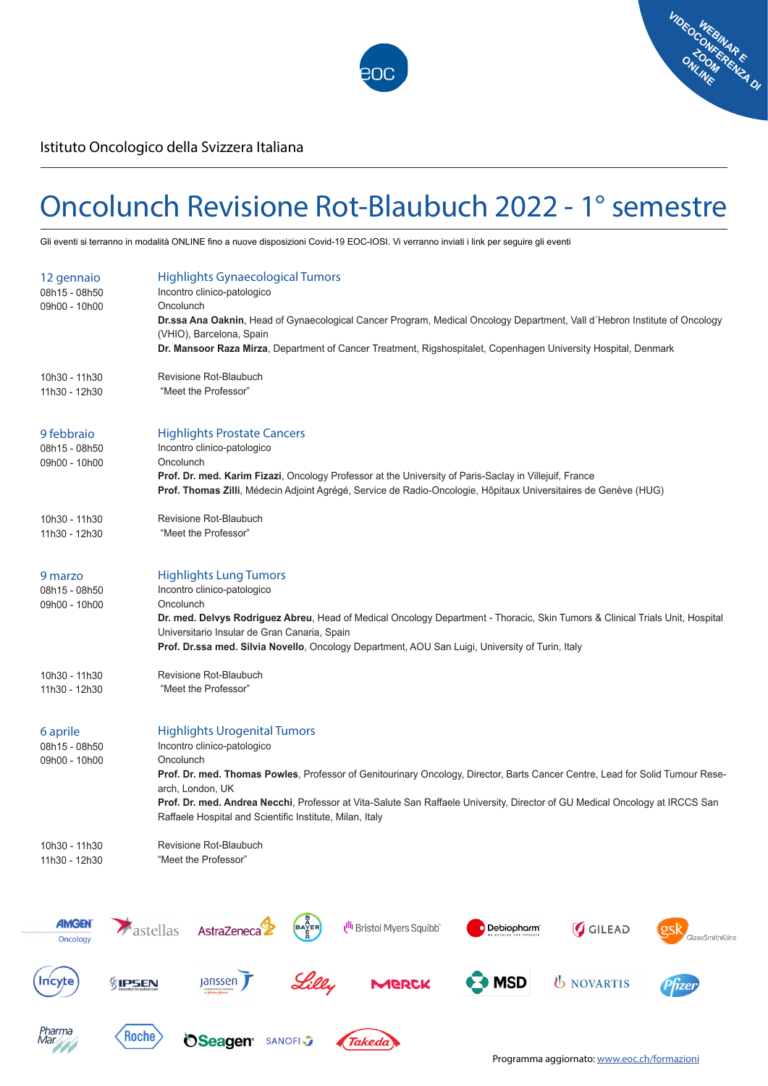



Istituto Oncologico della Svizzera Italiana

## Oncolunch Revisione Rot-Blaubuch 2022 - 1° semestre

Gli eventi si terranno in modalità ONLINE fino a nuove disposizioni Covid-19 EOC-IOSI. Vi verranno inviati i link per seguire gli eventi

| 12 gennaio<br>08h15 - 08h50<br>09h00 - 10h00 | <b>Highlights Gynaecological Tumors</b><br>Incontro clinico-patologico<br>Oncolunch<br>Dr.ssa Ana Oaknin, Head of Gynaecological Cancer Program, Medical Oncology Department, Vall d'Hebron Institute of Oncology<br>(VHIO), Barcelona, Spain<br>Dr. Mansoor Raza Mirza, Department of Cancer Treatment, Rigshospitalet, Copenhagen University Hospital, Denmark                                                                 |
|----------------------------------------------|----------------------------------------------------------------------------------------------------------------------------------------------------------------------------------------------------------------------------------------------------------------------------------------------------------------------------------------------------------------------------------------------------------------------------------|
| 10h30 - 11h30<br>11h30 - 12h30               | Revisione Rot-Blaubuch<br>"Meet the Professor"                                                                                                                                                                                                                                                                                                                                                                                   |
| 9 febbraio<br>08h15 - 08h50<br>09h00 - 10h00 | <b>Highlights Prostate Cancers</b><br>Incontro clinico-patologico<br>Oncolunch<br>Prof. Dr. med. Karim Fizazi, Oncology Professor at the University of Paris-Saclay in Villejuif, France<br>Prof. Thomas Zilli, Médecin Adjoint Agrégé, Service de Radio-Oncologie, Hôpitaux Universitaires de Genève (HUG)                                                                                                                      |
| 10h30 - 11h30<br>11h30 - 12h30               | Revisione Rot-Blaubuch<br>"Meet the Professor"                                                                                                                                                                                                                                                                                                                                                                                   |
| 9 marzo<br>08h15 - 08h50<br>09h00 - 10h00    | <b>Highlights Lung Tumors</b><br>Incontro clinico-patologico<br>Oncolunch<br>Dr. med. Delvys Rodríguez Abreu, Head of Medical Oncology Department - Thoracic, Skin Tumors & Clinical Trials Unit, Hospital<br>Universitario Insular de Gran Canaria, Spain<br>Prof. Dr.ssa med. Silvia Novello, Oncology Department, AOU San Luigi, University of Turin, Italy                                                                   |
| 10h30 - 11h30<br>11h30 - 12h30               | Revisione Rot-Blaubuch<br>"Meet the Professor"                                                                                                                                                                                                                                                                                                                                                                                   |
| 6 aprile<br>08h15 - 08h50<br>09h00 - 10h00   | <b>Highlights Urogenital Tumors</b><br>Incontro clinico-patologico<br>Oncolunch<br>Prof. Dr. med. Thomas Powles, Professor of Genitourinary Oncology, Director, Barts Cancer Centre, Lead for Solid Tumour Rese-<br>arch, London, UK<br>Prof. Dr. med. Andrea Necchi, Professor at Vita-Salute San Raffaele University, Director of GU Medical Oncology at IRCCS San<br>Raffaele Hospital and Scientific Institute, Milan, Italy |
| 10h30 - 11h30<br>11h30 - 12h30               | Revisione Rot-Blaubuch<br>"Meet the Professor"                                                                                                                                                                                                                                                                                                                                                                                   |
| <b><i>AMGEN</i></b><br>Oncology              | $\begin{pmatrix}\n\overrightarrow{A} & \overrightarrow{B} & \overrightarrow{B} \\ \overrightarrow{B} & \overrightarrow{B} & \overrightarrow{B}\n\end{pmatrix}$<br>Ull Bristol Myers Squibb"<br>GILEAD<br>Aastellas<br>AstraZeneca<br>Debiopharm<br>GlaxoSmithKline                                                                                                                                                               |
| <b>Incyte</b>                                | <b>Janssen</b><br>$\mathbf{\Xi}$ MSD<br><b>U</b> NOVARTIS<br><b>&amp;IPSEN</b><br>MERCK<br>Phzer                                                                                                                                                                                                                                                                                                                                 |
| <i>Pharma</i><br>Mar                         | Roche<br><b>Seagen</b> SANOFIS<br>(Takeda)                                                                                                                                                                                                                                                                                                                                                                                       |